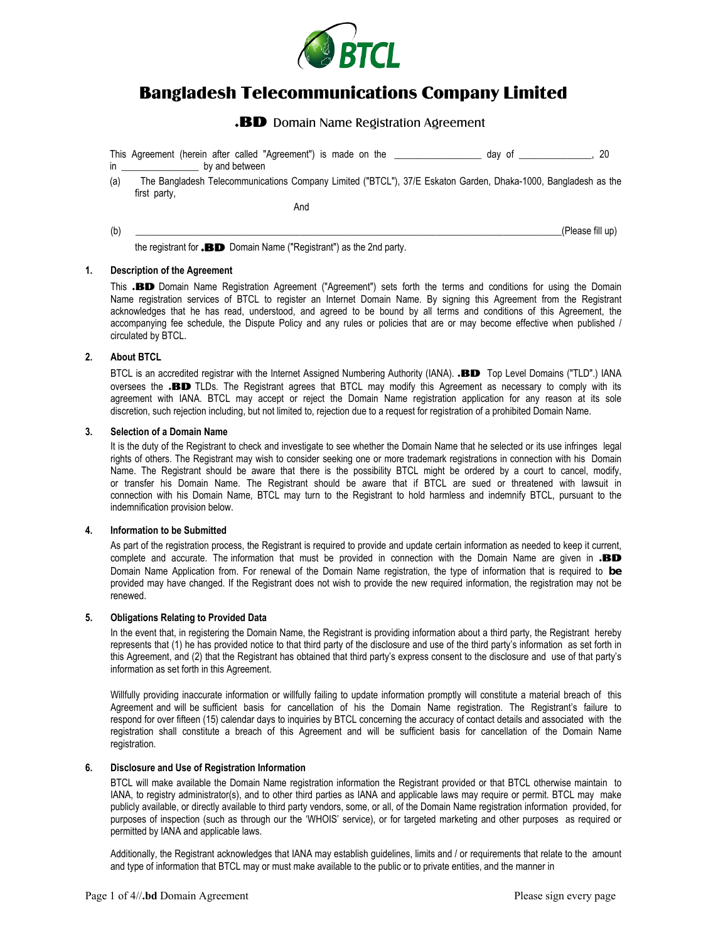

# Bangladesh Telecommunications Company Limited

## .BD Domain Name Registration Agreement

This Agreement (herein after called "Agreement") is made on the \_\_\_\_\_\_\_\_\_\_\_\_\_\_\_\_\_\_ day of \_\_\_\_\_\_\_\_\_\_\_\_\_\_\_, 20 in by and between

(a) The Bangladesh Telecommunications Company Limited ("BTCL"), 37/E Eskaton Garden, Dhaka-1000, Bangladesh as the first party,

And

 $(b)$   $(1)$ 

the registrant for **BD** Domain Name ("Registrant") as the 2nd party.

### **1. Description of the Agreement**

This .**BD** Domain Name Registration Agreement ("Agreement") sets forth the terms and conditions for using the Domain Name registration services of BTCL to register an Internet Domain Name. By signing this Agreement from the Registrant acknowledges that he has read, understood, and agreed to be bound by all terms and conditions of this Agreement, the accompanying fee schedule, the Dispute Policy and any rules or policies that are or may become effective when published / circulated by BTCL.

### **2. About BTCL**

BTCL is an accredited registrar with the Internet Assigned Numbering Authority (IANA). **BD** Top Level Domains ("TLD".) IANA oversees the .BD TLDs. The Registrant agrees that BTCL may modify this Agreement as necessary to comply with its agreement with IANA. BTCL may accept or reject the Domain Name registration application for any reason at its sole discretion, such rejection including, but not limited to, rejection due to a request for registration of a prohibited Domain Name.

## **3. Selection of a Domain Name**

It is the duty of the Registrant to check and investigate to see whether the Domain Name that he selected or its use infringes legal rights of others. The Registrant may wish to consider seeking one or more trademark registrations in connection with his Domain Name. The Registrant should be aware that there is the possibility BTCL might be ordered by a court to cancel, modify, or transfer his Domain Name. The Registrant should be aware that if BTCL are sued or threatened with lawsuit in connection with his Domain Name, BTCL may turn to the Registrant to hold harmless and indemnify BTCL, pursuant to the indemnification provision below.

## **4. Information to be Submitted**

As part of the registration process, the Registrant is required to provide and update certain information as needed to keep it current, complete and accurate. The information that must be provided in connection with the Domain Name are given in  $.B.D$ Domain Name Application from. For renewal of the Domain Name registration, the type of information that is required to **be** provided may have changed. If the Registrant does not wish to provide the new required information, the registration may not be renewed.

## **5. Obligations Relating to Provided Data**

In the event that, in registering the Domain Name, the Registrant is providing information about a third party, the Registrant hereby represents that (1) he has provided notice to that third party of the disclosure and use of the third party's information as set forth in this Agreement, and (2) that the Registrant has obtained that third party's express consent to the disclosure and use of that party's information as set forth in this Agreement.

Willfully providing inaccurate information or willfully failing to update information promptly will constitute a material breach of this Agreement and will be sufficient basis for cancellation of his the Domain Name registration. The Registrant's failure to respond for over fifteen (15) calendar days to inquiries by BTCL concerning the accuracy of contact details and associated with the registration shall constitute a breach of this Agreement and will be sufficient basis for cancellation of the Domain Name registration.

#### **6. Disclosure and Use of Registration Information**

BTCL will make available the Domain Name registration information the Registrant provided or that BTCL otherwise maintain to IANA, to registry administrator(s), and to other third parties as IANA and applicable laws may require or permit. BTCL may make publicly available, or directly available to third party vendors, some, or all, of the Domain Name registration information provided, for purposes of inspection (such as through our the 'WHOIS' service), or for targeted marketing and other purposes as required or permitted by IANA and applicable laws.

Additionally, the Registrant acknowledges that IANA may establish guidelines, limits and / or requirements that relate to the amount and type of information that BTCL may or must make available to the public or to private entities, and the manner in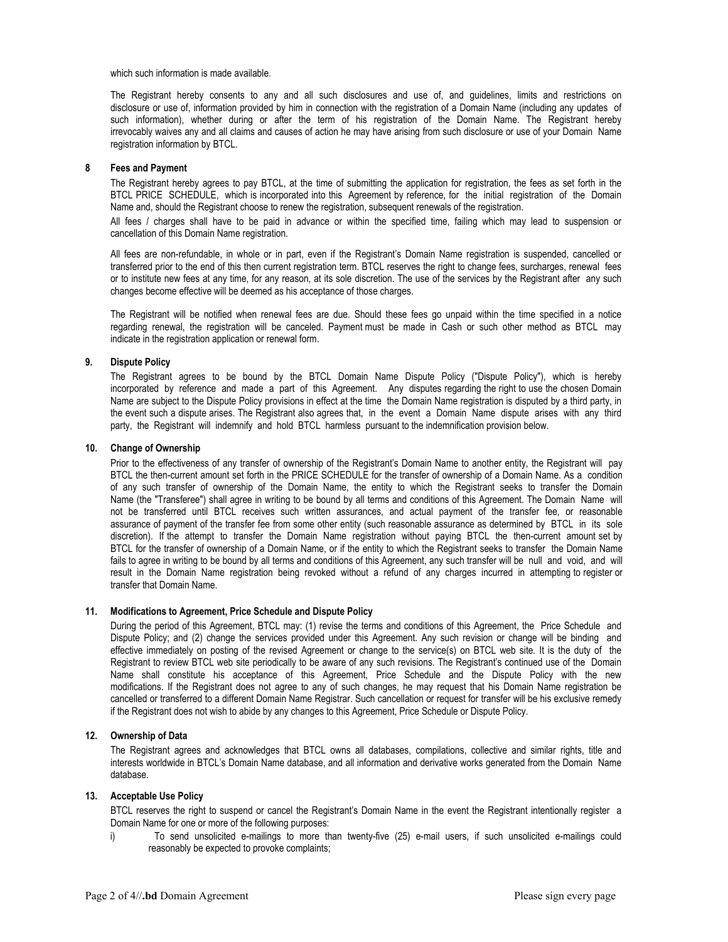which such information is made available.

The Registrant hereby consents to any and all such disclosures and use of, and guidelines, limits and restrictions on disclosure or use of, information provided by him in connection with the registration of a Domain Name (including any updates of such information), whether during or after the term of his registration of the Domain Name. The Registrant hereby irrevocably waives any and all claims and causes of action he may have arising from such disclosure or use of your Domain Name registration information by BTCL.

#### **8 Fees and Payment**

The Registrant hereby agrees to pay BTCL, at the time of submitting the application for registration, the fees as set forth in the BTCL PRICE SCHEDULE, which is incorporated into this Agreement by reference, for the initial registration of the Domain Name and, should the Registrant choose to renew the registration, subsequent renewals of the registration.

All fees / charges shall have to be paid in advance or within the specified time, failing which may lead to suspension or cancellation of this Domain Name registration.

All fees are non-refundable, in whole or in part, even if the Registrant's Domain Name registration is suspended, cancelled or transferred prior to the end of this then current registration term. BTCL reserves the right to change fees, surcharges, renewal fees or to institute new fees at any time, for any reason, at its sole discretion. The use of the services by the Registrant after any such changes become effective will be deemed as his acceptance of those charges.

The Registrant will be notified when renewal fees are due. Should these fees go unpaid within the time specified in a notice regarding renewal, the registration will be canceled. Payment must be made in Cash or such other method as BTCL may indicate in the registration application or renewal form.

#### **9. Dispute Policy**

The Registrant agrees to be bound by the BTCL Domain Name Dispute Policy ("Dispute Policy"), which is hereby incorporated by reference and made a part of this Agreement. Any disputes regarding the right to use the chosen Domain Name are subject to the Dispute Policy provisions in effect at the time the Domain Name registration is disputed by a third party, in the event such a dispute arises. The Registrant also agrees that, in the event a Domain Name dispute arises with any third party, the Registrant will indemnify and hold BTCL harmless pursuant to the indemnification provision below.

#### **10. Change of Ownership**

Prior to the effectiveness of any transfer of ownership of the Registrant's Domain Name to another entity, the Registrant will pay BTCL the then-current amount set forth in the PRICE SCHEDULE for the transfer of ownership of a Domain Name. As a condition of any such transfer of ownership of the Domain Name, the entity to which the Registrant seeks to transfer the Domain Name (the "Transferee") shall agree in writing to be bound by all terms and conditions of this Agreement. The Domain Name will not be transferred until BTCL receives such written assurances, and actual payment of the transfer fee, or reasonable assurance of payment of the transfer fee from some other entity (such reasonable assurance as determined by BTCL in its sole discretion). If the attempt to transfer the Domain Name registration without paying BTCL the then-current amount set by BTCL for the transfer of ownership of a Domain Name, or if the entity to which the Registrant seeks to transfer the Domain Name fails to agree in writing to be bound by all terms and conditions of this Agreement, any such transfer will be null and void, and will result in the Domain Name registration being revoked without a refund of any charges incurred in attempting to register or transfer that Domain Name.

### **11. Modifications to Agreement, Price Schedule and Dispute Policy**

During the period of this Agreement, BTCL may: (1) revise the terms and conditions of this Agreement, the Price Schedule and Dispute Policy; and (2) change the services provided under this Agreement. Any such revision or change will be binding and effective immediately on posting of the revised Agreement or change to the service(s) on BTCL web site. It is the duty of the Registrant to review BTCL web site periodically to be aware of any such revisions. The Registrant's continued use of the Domain Name shall constitute his acceptance of this Agreement, Price Schedule and the Dispute Policy with the new modifications. If the Registrant does not agree to any of such changes, he may request that his Domain Name registration be cancelled or transferred to a different Domain Name Registrar. Such cancellation or request for transfer will be his exclusive remedy if the Registrant does not wish to abide by any changes to this Agreement, Price Schedule or Dispute Policy.

#### **12. Ownership of Data**

The Registrant agrees and acknowledges that BTCL owns all databases, compilations, collective and similar rights, title and interests worldwide in BTCL's Domain Name database, and all information and derivative works generated from the Domain Name database.

#### **13. Acceptable Use Policy**

BTCL reserves the right to suspend or cancel the Registrant's Domain Name in the event the Registrant intentionally register a Domain Name for one or more of the following purposes:

i) To send unsolicited e-mailings to more than twenty-five (25) e-mail users, if such unsolicited e-mailings could reasonably be expected to provoke complaints;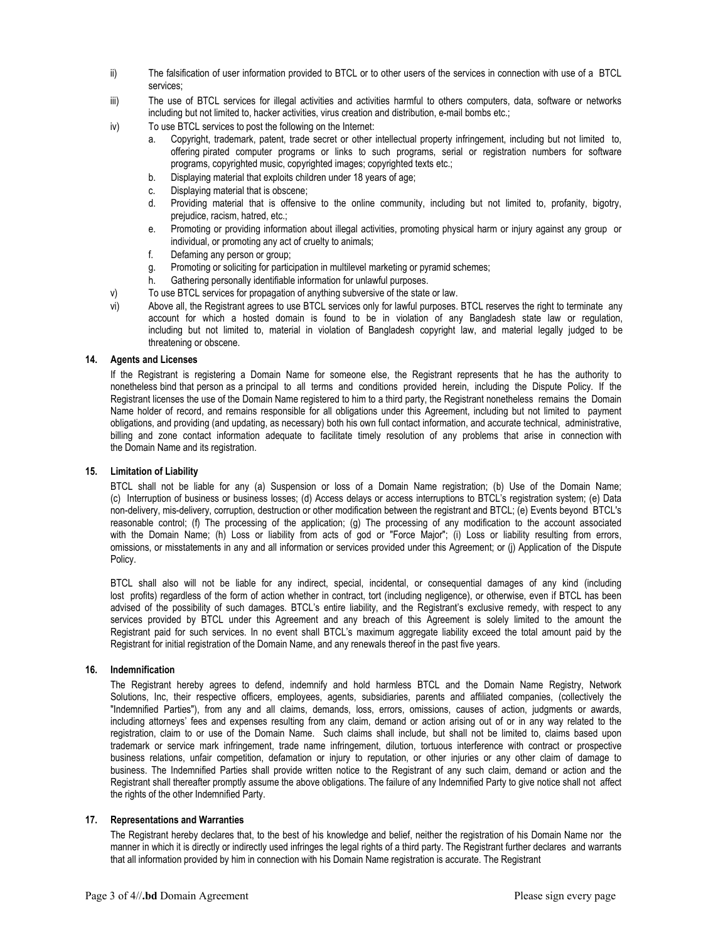- ii) The falsification of user information provided to BTCL or to other users of the services in connection with use of a BTCL services;
- iii) The use of BTCL services for illegal activities and activities harmful to others computers, data, software or networks including but not limited to, hacker activities, virus creation and distribution, e-mail bombs etc.;
- iv) To use BTCL services to post the following on the Internet:
	- a. Copyright, trademark, patent, trade secret or other intellectual property infringement, including but not limited to, offering pirated computer programs or links to such programs, serial or registration numbers for software programs, copyrighted music, copyrighted images; copyrighted texts etc.;
	- b. Displaying material that exploits children under 18 years of age;
	- c. Displaying material that is obscene;
	- d. Providing material that is offensive to the online community, including but not limited to, profanity, bigotry, prejudice, racism, hatred, etc.;
	- e. Promoting or providing information about illegal activities, promoting physical harm or injury against any group or individual, or promoting any act of cruelty to animals;
	- f. Defaming any person or group;
	- g. Promoting or soliciting for participation in multilevel marketing or pyramid schemes;
	- h. Gathering personally identifiable information for unlawful purposes.
- v) To use BTCL services for propagation of anything subversive of the state or law.
- vi) Above all, the Registrant agrees to use BTCL services only for lawful purposes. BTCL reserves the right to terminate any account for which a hosted domain is found to be in violation of any Bangladesh state law or regulation, including but not limited to, material in violation of Bangladesh copyright law, and material legally judged to be threatening or obscene.

#### **14. Agents and Licenses**

If the Registrant is registering a Domain Name for someone else, the Registrant represents that he has the authority to nonetheless bind that person as a principal to all terms and conditions provided herein, including the Dispute Policy. If the Registrant licenses the use of the Domain Name registered to him to a third party, the Registrant nonetheless remains the Domain Name holder of record, and remains responsible for all obligations under this Agreement, including but not limited to payment obligations, and providing (and updating, as necessary) both his own full contact information, and accurate technical, administrative, billing and zone contact information adequate to facilitate timely resolution of any problems that arise in connection with the Domain Name and its registration.

#### **15. Limitation of Liability**

BTCL shall not be liable for any (a) Suspension or loss of a Domain Name registration; (b) Use of the Domain Name; (c) Interruption of business or business losses; (d) Access delays or access interruptions to BTCL's registration system; (e) Data non-delivery, mis-delivery, corruption, destruction or other modification between the registrant and BTCL; (e) Events beyond BTCL's reasonable control; (f) The processing of the application; (g) The processing of any modification to the account associated with the Domain Name; (h) Loss or liability from acts of god or "Force Major"; (i) Loss or liability resulting from errors, omissions, or misstatements in any and all information or services provided under this Agreement; or (j) Application of the Dispute Policy.

BTCL shall also will not be liable for any indirect, special, incidental, or consequential damages of any kind (including lost profits) regardless of the form of action whether in contract, tort (including negligence), or otherwise, even if BTCL has been advised of the possibility of such damages. BTCL's entire liability, and the Registrant's exclusive remedy, with respect to any services provided by BTCL under this Agreement and any breach of this Agreement is solely limited to the amount the Registrant paid for such services. In no event shall BTCL's maximum aggregate liability exceed the total amount paid by the Registrant for initial registration of the Domain Name, and any renewals thereof in the past five years.

#### **16. Indemnification**

The Registrant hereby agrees to defend, indemnify and hold harmless BTCL and the Domain Name Registry, Network Solutions, Inc, their respective officers, employees, agents, subsidiaries, parents and affiliated companies, (collectively the "Indemnified Parties"), from any and all claims, demands, loss, errors, omissions, causes of action, judgments or awards, including attorneys' fees and expenses resulting from any claim, demand or action arising out of or in any way related to the registration, claim to or use of the Domain Name. Such claims shall include, but shall not be limited to, claims based upon trademark or service mark infringement, trade name infringement, dilution, tortuous interference with contract or prospective business relations, unfair competition, defamation or injury to reputation, or other injuries or any other claim of damage to business. The Indemnified Parties shall provide written notice to the Registrant of any such claim, demand or action and the Registrant shall thereafter promptly assume the above obligations. The failure of any Indemnified Party to give notice shall not affect the rights of the other Indemnified Party.

#### **17. Representations and Warranties**

The Registrant hereby declares that, to the best of his knowledge and belief, neither the registration of his Domain Name nor the manner in which it is directly or indirectly used infringes the legal rights of a third party. The Registrant further declares and warrants that all information provided by him in connection with his Domain Name registration is accurate. The Registrant